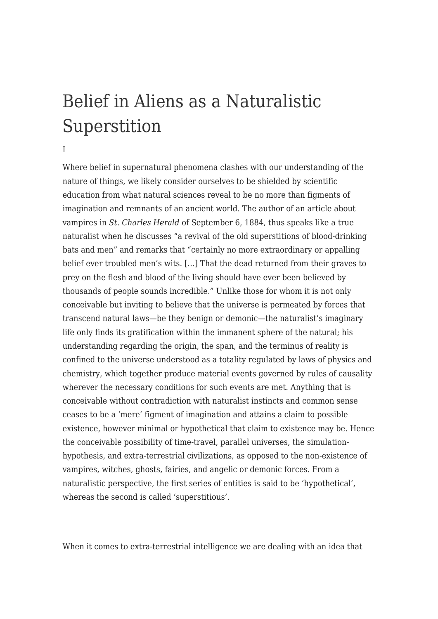## [Belief in Aliens as a Naturalistic](https://www.fakematters.eu/research/articles/belief-in-aliens-as-a-naturalistic-superstition/) [Superstition](https://www.fakematters.eu/research/articles/belief-in-aliens-as-a-naturalistic-superstition/)

## I

Where belief in supernatural phenomena clashes with our understanding of the nature of things, we likely consider ourselves to be shielded by scientific education from what natural sciences reveal to be no more than figments of imagination and remnants of an ancient world. The author of an article about vampires in *St. Charles Herald* of September 6, 1884, thus speaks like a true naturalist when he discusses "a revival of the old superstitions of blood-drinking bats and men" and remarks that "certainly no more extraordinary or appalling belief ever troubled men's wits. […] That the dead returned from their graves to prey on the flesh and blood of the living should have ever been believed by thousands of people sounds incredible." Unlike those for whom it is not only conceivable but inviting to believe that the universe is permeated by forces that transcend natural laws—be they benign or demonic—the naturalist's imaginary life only finds its gratification within the immanent sphere of the natural; his understanding regarding the origin, the span, and the terminus of reality is confined to the universe understood as a totality regulated by laws of physics and chemistry, which together produce material events governed by rules of causality wherever the necessary conditions for such events are met. Anything that is conceivable without contradiction with naturalist instincts and common sense ceases to be a 'mere' figment of imagination and attains a claim to possible existence, however minimal or hypothetical that claim to existence may be. Hence the conceivable possibility of time-travel, parallel universes, the simulationhypothesis, and extra-terrestrial civilizations, as opposed to the non-existence of vampires, witches, ghosts, fairies, and angelic or demonic forces. From a naturalistic perspective, the first series of entities is said to be 'hypothetical', whereas the second is called 'superstitious'.

When it comes to extra-terrestrial intelligence we are dealing with an idea that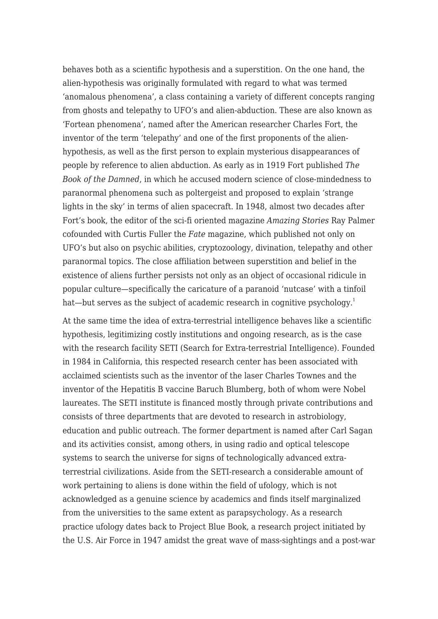behaves both as a scientific hypothesis and a superstition. On the one hand, the alien-hypothesis was originally formulated with regard to what was termed 'anomalous phenomena', a class containing a variety of different concepts ranging from ghosts and telepathy to UFO's and alien-abduction. These are also known as 'Fortean phenomena', named after the American researcher Charles Fort, the inventor of the term 'telepathy' and one of the first proponents of the alienhypothesis, as well as the first person to explain mysterious disappearances of people by reference to alien abduction. As early as in 1919 Fort published *The Book of the Damned*, in which he accused modern science of close-mindedness to paranormal phenomena such as poltergeist and proposed to explain 'strange lights in the sky' in terms of alien spacecraft. In 1948, almost two decades after Fort's book, the editor of the sci-fi oriented magazine *Amazing Stories* Ray Palmer cofounded with Curtis Fuller the *Fate* magazine, which published not only on UFO's but also on psychic abilities, cryptozoology, divination, telepathy and other paranormal topics. The close affiliation between superstition and belief in the existence of aliens further persists not only as an object of occasional ridicule in popular culture—specifically the caricature of a paranoid 'nutcase' with a tinfoil hat—but serves as the subject of academic research in cognitive psychology.<sup>[1](#page--1-0)</sup>

At the same time the idea of extra-terrestrial intelligence behaves like a scientific hypothesis, legitimizing costly institutions and ongoing research, as is the case with the research facility SETI (Search for Extra-terrestrial Intelligence). Founded in 1984 in California, this respected research center has been associated with acclaimed scientists such as the inventor of the laser Charles Townes and the inventor of the Hepatitis B vaccine Baruch Blumberg, both of whom were Nobel laureates. The SETI institute is financed mostly through private contributions and consists of three departments that are devoted to research in astrobiology, education and public outreach. The former department is named after Carl Sagan and its activities consist, among others, in using radio and optical telescope systems to search the universe for signs of technologically advanced extraterrestrial civilizations. Aside from the SETI-research a considerable amount of work pertaining to aliens is done within the field of ufology, which is not acknowledged as a genuine science by academics and finds itself marginalized from the universities to the same extent as parapsychology. As a research practice ufology dates back to Project Blue Book, a research project initiated by the U.S. Air Force in 1947 amidst the great wave of mass-sightings and a post-war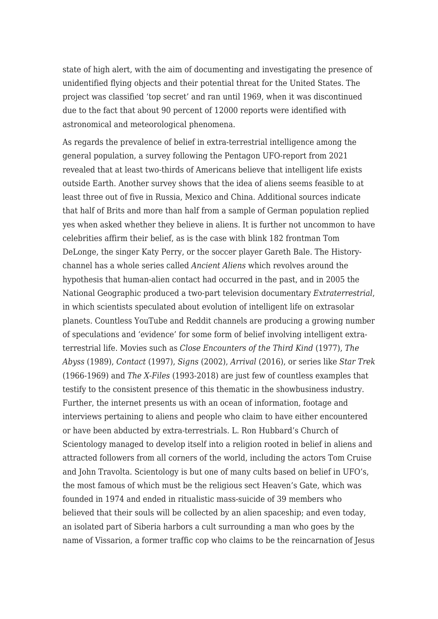state of high alert, with the aim of documenting and investigating the presence of unidentified flying objects and their potential threat for the United States. The project was classified 'top secret' and ran until 1969, when it was discontinued due to the fact that about 90 percent of 12000 reports were identified with astronomical and meteorological phenomena.

As regards the prevalence of belief in extra-terrestrial intelligence among the general population, a survey following the Pentagon UFO-report from 2021 revealed that at least two-thirds of Americans believe that intelligent life exists outside Earth. Another survey shows that the idea of aliens seems feasible to at least three out of five in Russia, Mexico and China. Additional sources indicate that half of Brits and more than half from a sample of German population replied yes when asked whether they believe in aliens. It is further not uncommon to have celebrities affirm their belief, as is the case with blink 182 frontman Tom DeLonge, the singer Katy Perry, or the soccer player Gareth Bale. The Historychannel has a whole series called *Ancient Aliens* which revolves around the hypothesis that human-alien contact had occurred in the past, and in 2005 the National Geographic produced a two-part television documentary *Extraterrestrial*, in which scientists speculated about evolution of intelligent life on extrasolar planets. Countless YouTube and Reddit channels are producing a growing number of speculations and 'evidence' for some form of belief involving intelligent extraterrestrial life. Movies such as *Close Encounters of the Third Kind* (1977), *The Abyss* (1989), *Contact* (1997), *Signs* (2002), *Arrival* (2016), or series like *Star Trek* (1966-1969) and *The X-Files* (1993-2018) are just few of countless examples that testify to the consistent presence of this thematic in the showbusiness industry. Further, the internet presents us with an ocean of information, footage and interviews pertaining to aliens and people who claim to have either encountered or have been abducted by extra-terrestrials. L. Ron Hubbard's Church of Scientology managed to develop itself into a religion rooted in belief in aliens and attracted followers from all corners of the world, including the actors Tom Cruise and John Travolta. Scientology is but one of many cults based on belief in UFO's, the most famous of which must be the religious sect Heaven's Gate, which was founded in 1974 and ended in ritualistic mass-suicide of 39 members who believed that their souls will be collected by an alien spaceship; and even today, an isolated part of Siberia harbors a cult surrounding a man who goes by the name of Vissarion, a former traffic cop who claims to be the reincarnation of Jesus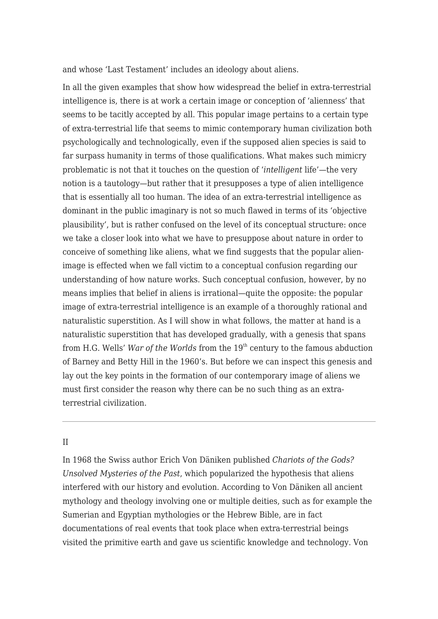and whose 'Last Testament' includes an ideology about aliens.

In all the given examples that show how widespread the belief in extra-terrestrial intelligence is, there is at work a certain image or conception of 'alienness' that seems to be tacitly accepted by all. This popular image pertains to a certain type of extra-terrestrial life that seems to mimic contemporary human civilization both psychologically and technologically, even if the supposed alien species is said to far surpass humanity in terms of those qualifications. What makes such mimicry problematic is not that it touches on the question of '*intelligent* life'—the very notion is a tautology—but rather that it presupposes a type of alien intelligence that is essentially all too human. The idea of an extra-terrestrial intelligence as dominant in the public imaginary is not so much flawed in terms of its 'objective plausibility', but is rather confused on the level of its conceptual structure: once we take a closer look into what we have to presuppose about nature in order to conceive of something like aliens, what we find suggests that the popular alienimage is effected when we fall victim to a conceptual confusion regarding our understanding of how nature works. Such conceptual confusion, however, by no means implies that belief in aliens is irrational—quite the opposite: the popular image of extra-terrestrial intelligence is an example of a thoroughly rational and naturalistic superstition. As I will show in what follows, the matter at hand is a naturalistic superstition that has developed gradually, with a genesis that spans from H.G. Wells' *War of the Worlds* from the 19<sup>th</sup> century to the famous abduction of Barney and Betty Hill in the 1960's. But before we can inspect this genesis and lay out the key points in the formation of our contemporary image of aliens we must first consider the reason why there can be no such thing as an extraterrestrial civilization.

## II

In 1968 the Swiss author Erich Von Däniken published *Chariots of the Gods? Unsolved Mysteries of the Past*, which popularized the hypothesis that aliens interfered with our history and evolution. According to Von Däniken all ancient mythology and theology involving one or multiple deities, such as for example the Sumerian and Egyptian mythologies or the Hebrew Bible, are in fact documentations of real events that took place when extra-terrestrial beings visited the primitive earth and gave us scientific knowledge and technology. Von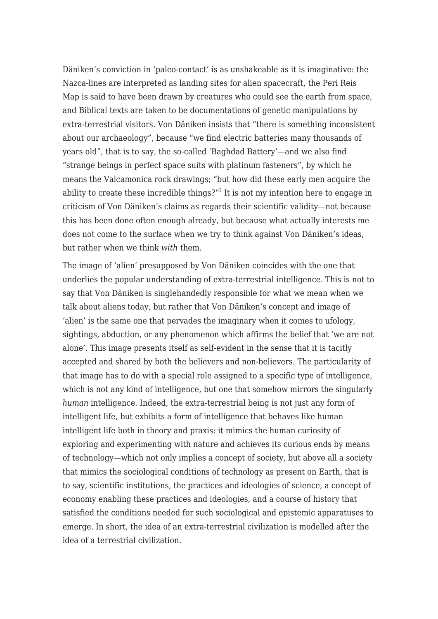Däniken's conviction in 'paleo-contact' is as unshakeable as it is imaginative: the Nazca-lines are interpreted as landing sites for alien spacecraft, the Peri Reis Map is said to have been drawn by creatures who could see the earth from space, and Biblical texts are taken to be documentations of genetic manipulations by extra-terrestrial visitors. Von Däniken insists that "there is something inconsistent about our archaeology", because "we find electric batteries many thousands of years old", that is to say, the so-called 'Baghdad Battery'—and we also find "strange beings in perfect space suits with platinum fasteners", by which he means the Valcamonica rock drawings; "but how did these early men acquire the ability to create these incredible things?"<sup>[2](#page--1-0)</sup> It is not my intention here to engage in criticism of Von Däniken's claims as regards their scientific validity—not because this has been done often enough already, but because what actually interests me does not come to the surface when we try to think against Von Däniken's ideas, but rather when we think *with* them.

The image of 'alien' presupposed by Von Däniken coincides with the one that underlies the popular understanding of extra-terrestrial intelligence. This is not to say that Von Däniken is singlehandedly responsible for what we mean when we talk about aliens today, but rather that Von Däniken's concept and image of 'alien' is the same one that pervades the imaginary when it comes to ufology, sightings, abduction, or any phenomenon which affirms the belief that 'we are not alone'. This image presents itself as self-evident in the sense that it is tacitly accepted and shared by both the believers and non-believers. The particularity of that image has to do with a special role assigned to a specific type of intelligence, which is not any kind of intelligence, but one that somehow mirrors the singularly *human* intelligence. Indeed, the extra-terrestrial being is not just any form of intelligent life, but exhibits a form of intelligence that behaves like human intelligent life both in theory and praxis: it mimics the human curiosity of exploring and experimenting with nature and achieves its curious ends by means of technology—which not only implies a concept of society, but above all a society that mimics the sociological conditions of technology as present on Earth, that is to say, scientific institutions, the practices and ideologies of science, a concept of economy enabling these practices and ideologies, and a course of history that satisfied the conditions needed for such sociological and epistemic apparatuses to emerge. In short, the idea of an extra-terrestrial civilization is modelled after the idea of a terrestrial civilization.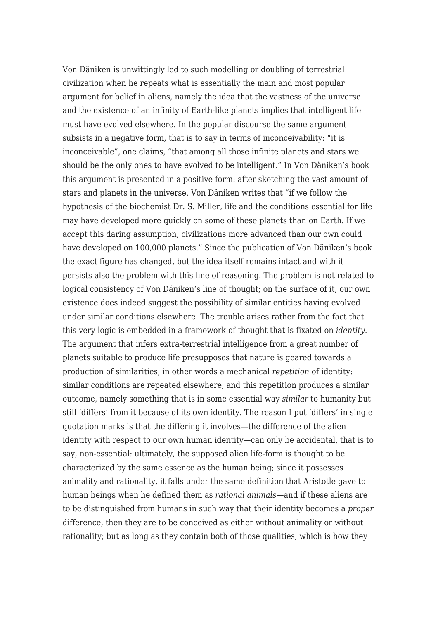Von Däniken is unwittingly led to such modelling or doubling of terrestrial civilization when he repeats what is essentially the main and most popular argument for belief in aliens, namely the idea that the vastness of the universe and the existence of an infinity of Earth-like planets implies that intelligent life must have evolved elsewhere. In the popular discourse the same argument subsists in a negative form, that is to say in terms of inconceivability: "it is inconceivable", one claims, "that among all those infinite planets and stars we should be the only ones to have evolved to be intelligent." In Von Däniken's book this argument is presented in a positive form: after sketching the vast amount of stars and planets in the universe, Von Däniken writes that "if we follow the hypothesis of the biochemist Dr. S. Miller, life and the conditions essential for life may have developed more quickly on some of these planets than on Earth. If we accept this daring assumption, civilizations more advanced than our own could have developed on 100,000 planets." Since the publication of Von Däniken's book the exact figure has changed, but the idea itself remains intact and with it persists also the problem with this line of reasoning. The problem is not related to logical consistency of Von Däniken's line of thought; on the surface of it, our own existence does indeed suggest the possibility of similar entities having evolved under similar conditions elsewhere. The trouble arises rather from the fact that this very logic is embedded in a framework of thought that is fixated on *identity*. The argument that infers extra-terrestrial intelligence from a great number of planets suitable to produce life presupposes that nature is geared towards a production of similarities, in other words a mechanical *repetition* of identity: similar conditions are repeated elsewhere, and this repetition produces a similar outcome, namely something that is in some essential way *similar* to humanity but still 'differs' from it because of its own identity. The reason I put 'differs' in single quotation marks is that the differing it involves—the difference of the alien identity with respect to our own human identity—can only be accidental, that is to say, non-essential: ultimately, the supposed alien life-form is thought to be characterized by the same essence as the human being; since it possesses animality and rationality, it falls under the same definition that Aristotle gave to human beings when he defined them as *rational animals*—and if these aliens are to be distinguished from humans in such way that their identity becomes a *proper* difference, then they are to be conceived as either without animality or without rationality; but as long as they contain both of those qualities, which is how they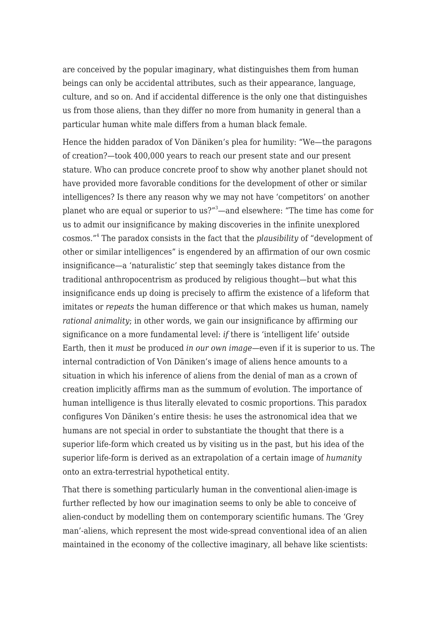are conceived by the popular imaginary, what distinguishes them from human beings can only be accidental attributes, such as their appearance, language, culture, and so on. And if accidental difference is the only one that distinguishes us from those aliens, than they differ no more from humanity in general than a particular human white male differs from a human black female.

Hence the hidden paradox of Von Däniken's plea for humility: "We—the paragons of creation?—took 400,000 years to reach our present state and our present stature. Who can produce concrete proof to show why another planet should not have provided more favorable conditions for the development of other or similar intelligences? Is there any reason why we may not have 'competitors' on another planet who are equal or superior to us?"[3](#page--1-0)—and elsewhere: "The time has come for us to admit our insignificance by making discoveries in the infinite unexplored cosmos."[4](#page--1-0) The paradox consists in the fact that the *plausibility* of "development of other or similar intelligences" is engendered by an affirmation of our own cosmic insignificance—a 'naturalistic' step that seemingly takes distance from the traditional anthropocentrism as produced by religious thought—but what this insignificance ends up doing is precisely to affirm the existence of a lifeform that imitates or *repeats* the human difference or that which makes us human, namely *rational animality*; in other words, we gain our insignificance by affirming our significance on a more fundamental level: *if* there is 'intelligent life' outside Earth, then it *must* be produced *in our own image*—even if it is superior to us. The internal contradiction of Von Däniken's image of aliens hence amounts to a situation in which his inference of aliens from the denial of man as a crown of creation implicitly affirms man as the summum of evolution. The importance of human intelligence is thus literally elevated to cosmic proportions. This paradox configures Von Däniken's entire thesis: he uses the astronomical idea that we humans are not special in order to substantiate the thought that there is a superior life-form which created us by visiting us in the past, but his idea of the superior life-form is derived as an extrapolation of a certain image of *humanity* onto an extra-terrestrial hypothetical entity.

That there is something particularly human in the conventional alien-image is further reflected by how our imagination seems to only be able to conceive of alien-conduct by modelling them on contemporary scientific humans. The 'Grey man'-aliens, which represent the most wide-spread conventional idea of an alien maintained in the economy of the collective imaginary, all behave like scientists: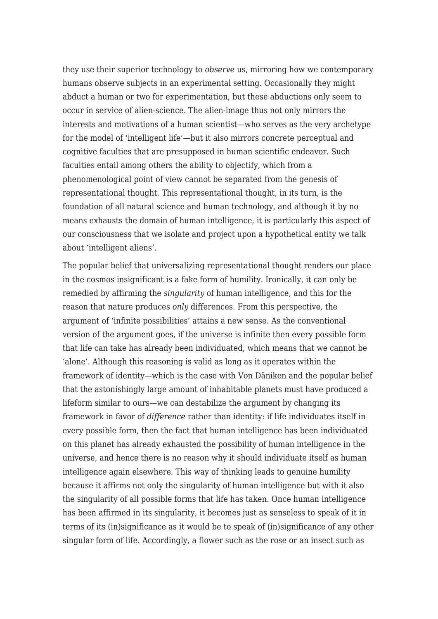they use their superior technology to *observe* us, mirroring how we contemporary humans observe subjects in an experimental setting. Occasionally they might abduct a human or two for experimentation, but these abductions only seem to occur in service of alien-science. The alien-image thus not only mirrors the interests and motivations of a human scientist—who serves as the very archetype for the model of 'intelligent life'—but it also mirrors concrete perceptual and cognitive faculties that are presupposed in human scientific endeavor. Such faculties entail among others the ability to objectify, which from a phenomenological point of view cannot be separated from the genesis of representational thought. This representational thought, in its turn, is the foundation of all natural science and human technology, and although it by no means exhausts the domain of human intelligence, it is particularly this aspect of our consciousness that we isolate and project upon a hypothetical entity we talk about 'intelligent aliens'.

The popular belief that universalizing representational thought renders our place in the cosmos insignificant is a fake form of humility. Ironically, it can only be remedied by affirming the *singularity* of human intelligence, and this for the reason that nature produces *only* differences. From this perspective, the argument of 'infinite possibilities' attains a new sense. As the conventional version of the argument goes, if the universe is infinite then every possible form that life can take has already been individuated, which means that we cannot be 'alone'. Although this reasoning is valid as long as it operates within the framework of identity—which is the case with Von Däniken and the popular belief that the astonishingly large amount of inhabitable planets must have produced a lifeform similar to ours—we can destabilize the argument by changing its framework in favor of *difference* rather than identity: if life individuates itself in every possible form, then the fact that human intelligence has been individuated on this planet has already exhausted the possibility of human intelligence in the universe, and hence there is no reason why it should individuate itself as human intelligence again elsewhere. This way of thinking leads to genuine humility because it affirms not only the singularity of human intelligence but with it also the singularity of all possible forms that life has taken. Once human intelligence has been affirmed in its singularity, it becomes just as senseless to speak of it in terms of its (in)significance as it would be to speak of (in)significance of any other singular form of life. Accordingly, a flower such as the rose or an insect such as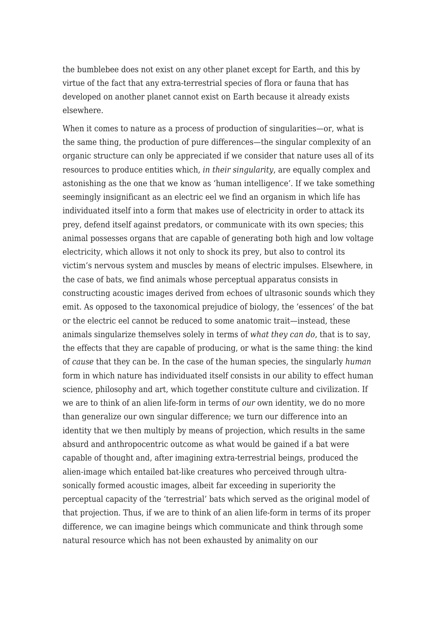the bumblebee does not exist on any other planet except for Earth, and this by virtue of the fact that any extra-terrestrial species of flora or fauna that has developed on another planet cannot exist on Earth because it already exists elsewhere.

When it comes to nature as a process of production of singularities—or, what is the same thing, the production of pure differences—the singular complexity of an organic structure can only be appreciated if we consider that nature uses all of its resources to produce entities which, *in their singularity*, are equally complex and astonishing as the one that we know as 'human intelligence'. If we take something seemingly insignificant as an electric eel we find an organism in which life has individuated itself into a form that makes use of electricity in order to attack its prey, defend itself against predators, or communicate with its own species; this animal possesses organs that are capable of generating both high and low voltage electricity, which allows it not only to shock its prey, but also to control its victim's nervous system and muscles by means of electric impulses. Elsewhere, in the case of bats, we find animals whose perceptual apparatus consists in constructing acoustic images derived from echoes of ultrasonic sounds which they emit. As opposed to the taxonomical prejudice of biology, the 'essences' of the bat or the electric eel cannot be reduced to some anatomic trait—instead, these animals singularize themselves solely in terms of *what they can do*, that is to say, the effects that they are capable of producing, or what is the same thing: the kind of *cause* that they can be. In the case of the human species, the singularly *human* form in which nature has individuated itself consists in our ability to effect human science, philosophy and art, which together constitute culture and civilization. If we are to think of an alien life-form in terms of *our* own identity, we do no more than generalize our own singular difference; we turn our difference into an identity that we then multiply by means of projection, which results in the same absurd and anthropocentric outcome as what would be gained if a bat were capable of thought and, after imagining extra-terrestrial beings, produced the alien-image which entailed bat-like creatures who perceived through ultrasonically formed acoustic images, albeit far exceeding in superiority the perceptual capacity of the 'terrestrial' bats which served as the original model of that projection. Thus, if we are to think of an alien life-form in terms of its proper difference, we can imagine beings which communicate and think through some natural resource which has not been exhausted by animality on our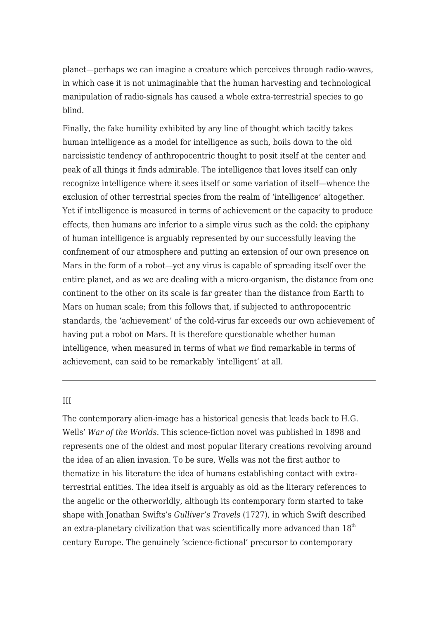planet—perhaps we can imagine a creature which perceives through radio-waves, in which case it is not unimaginable that the human harvesting and technological manipulation of radio-signals has caused a whole extra-terrestrial species to go blind.

Finally, the fake humility exhibited by any line of thought which tacitly takes human intelligence as a model for intelligence as such, boils down to the old narcissistic tendency of anthropocentric thought to posit itself at the center and peak of all things it finds admirable. The intelligence that loves itself can only recognize intelligence where it sees itself or some variation of itself—whence the exclusion of other terrestrial species from the realm of 'intelligence' altogether. Yet if intelligence is measured in terms of achievement or the capacity to produce effects, then humans are inferior to a simple virus such as the cold: the epiphany of human intelligence is arguably represented by our successfully leaving the confinement of our atmosphere and putting an extension of our own presence on Mars in the form of a robot—yet any virus is capable of spreading itself over the entire planet, and as we are dealing with a micro-organism, the distance from one continent to the other on its scale is far greater than the distance from Earth to Mars on human scale; from this follows that, if subjected to anthropocentric standards, the 'achievement' of the cold-virus far exceeds our own achievement of having put a robot on Mars. It is therefore questionable whether human intelligence, when measured in terms of what *we* find remarkable in terms of achievement, can said to be remarkably 'intelligent' at all.

## III

The contemporary alien-image has a historical genesis that leads back to H.G. Wells' *War of the Worlds.* This science-fiction novel was published in 1898 and represents one of the oldest and most popular literary creations revolving around the idea of an alien invasion. To be sure, Wells was not the first author to thematize in his literature the idea of humans establishing contact with extraterrestrial entities. The idea itself is arguably as old as the literary references to the angelic or the otherworldly, although its contemporary form started to take shape with Jonathan Swifts's *Gulliver's Travels* (1727), in which Swift described an extra-planetary civilization that was scientifically more advanced than  $18<sup>th</sup>$ century Europe. The genuinely 'science-fictional' precursor to contemporary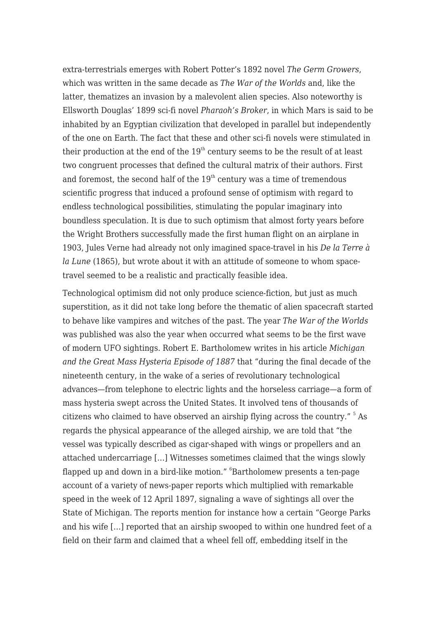extra-terrestrials emerges with Robert Potter's 1892 novel *The Germ Growers*, which was written in the same decade as *The War of the Worlds* and, like the latter, thematizes an invasion by a malevolent alien species. Also noteworthy is Ellsworth Douglas' 1899 sci-fi novel *Pharaoh's Broker*, in which Mars is said to be inhabited by an Egyptian civilization that developed in parallel but independently of the one on Earth. The fact that these and other sci-fi novels were stimulated in their production at the end of the  $19<sup>th</sup>$  century seems to be the result of at least two congruent processes that defined the cultural matrix of their authors. First and foremost, the second half of the  $19<sup>th</sup>$  century was a time of tremendous scientific progress that induced a profound sense of optimism with regard to endless technological possibilities, stimulating the popular imaginary into boundless speculation. It is due to such optimism that almost forty years before the Wright Brothers successfully made the first human flight on an airplane in 1903, Jules Verne had already not only imagined space-travel in his *De la Terre à la Lune* (1865), but wrote about it with an attitude of someone to whom spacetravel seemed to be a realistic and practically feasible idea.

Technological optimism did not only produce science-fiction, but just as much superstition, as it did not take long before the thematic of alien spacecraft started to behave like vampires and witches of the past. The year *The War of the Worlds* was published was also the year when occurred what seems to be the first wave of modern UFO sightings. Robert E. Bartholomew writes in his article *Michigan and the Great Mass Hysteria Episode of 1887* that "during the final decade of the nineteenth century, in the wake of a series of revolutionary technological advances—from telephone to electric lights and the horseless carriage—a form of mass hysteria swept across the United States. It involved tens of thousands of citizens who claimed to have observed an airship flying across the country." <sup>[5](#page--1-0)</sup> As regards the physical appearance of the alleged airship, we are told that "the vessel was typically described as cigar-shaped with wings or propellers and an attached undercarriage […] Witnesses sometimes claimed that the wings slowly flapped up and down in a bird-like motion."  $^6$  $^6$ Bartholomew presents a ten-page account of a variety of news-paper reports which multiplied with remarkable speed in the week of 12 April 1897, signaling a wave of sightings all over the State of Michigan. The reports mention for instance how a certain "George Parks and his wife […] reported that an airship swooped to within one hundred feet of a field on their farm and claimed that a wheel fell off, embedding itself in the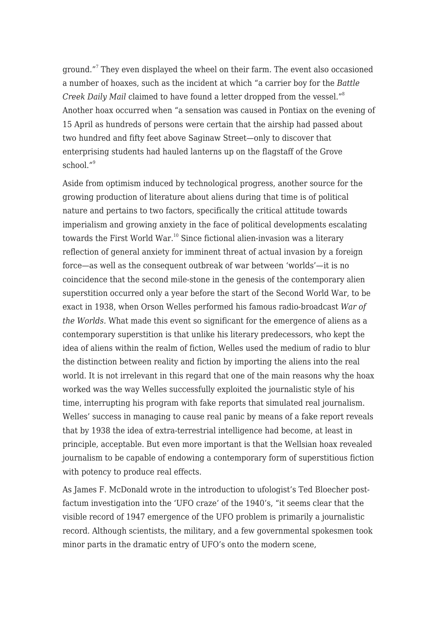ground."[7](#page--1-0) They even displayed the wheel on their farm. The event also occasioned a number of hoaxes, such as the incident at which "a carrier boy for the *Battle Creek Daily Mail* claimed to have found a letter dropped from the vessel."[8](#page--1-0) Another hoax occurred when "a sensation was caused in Pontiax on the evening of 15 April as hundreds of persons were certain that the airship had passed about two hundred and fifty feet above Saginaw Street—only to discover that enterprising students had hauled lanterns up on the flagstaff of the Grove school $^{\prime\prime9}$  $^{\prime\prime9}$  $^{\prime\prime9}$ 

Aside from optimism induced by technological progress, another source for the growing production of literature about aliens during that time is of political nature and pertains to two factors, specifically the critical attitude towards imperialism and growing anxiety in the face of political developments escalating towards the First World War.<sup>[10](#page--1-0)</sup> Since fictional alien-invasion was a literary reflection of general anxiety for imminent threat of actual invasion by a foreign force—as well as the consequent outbreak of war between 'worlds'—it is no coincidence that the second mile-stone in the genesis of the contemporary alien superstition occurred only a year before the start of the Second World War, to be exact in 1938, when Orson Welles performed his famous radio-broadcast *War of the Worlds.* What made this event so significant for the emergence of aliens as a contemporary superstition is that unlike his literary predecessors, who kept the idea of aliens within the realm of fiction, Welles used the medium of radio to blur the distinction between reality and fiction by importing the aliens into the real world. It is not irrelevant in this regard that one of the main reasons why the hoax worked was the way Welles successfully exploited the journalistic style of his time, interrupting his program with fake reports that simulated real journalism. Welles' success in managing to cause real panic by means of a fake report reveals that by 1938 the idea of extra-terrestrial intelligence had become, at least in principle, acceptable. But even more important is that the Wellsian hoax revealed journalism to be capable of endowing a contemporary form of superstitious fiction with potency to produce real effects.

As James F. McDonald wrote in the introduction to ufologist's Ted Bloecher postfactum investigation into the 'UFO craze' of the 1940's, "it seems clear that the visible record of 1947 emergence of the UFO problem is primarily a journalistic record. Although scientists, the military, and a few governmental spokesmen took minor parts in the dramatic entry of UFO's onto the modern scene,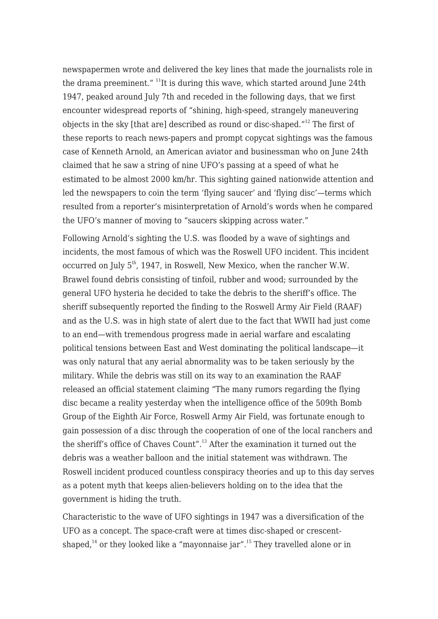newspapermen wrote and delivered the key lines that made the journalists role in the drama preeminent."  $\frac{11}{11}$  $\frac{11}{11}$  $\frac{11}{11}$  is during this wave, which started around June 24th 1947, peaked around July 7th and receded in the following days, that we first encounter widespread reports of "shining, high-speed, strangely maneuvering objects in the sky [that are] described as round or disc-shaped."[12](#page--1-0) The first of these reports to reach news-papers and prompt copycat sightings was the famous case of Kenneth Arnold, an American aviator and businessman who on June 24th claimed that he saw a string of nine UFO's passing at a speed of what he estimated to be almost 2000 km/hr. This sighting gained nationwide attention and led the newspapers to coin the term 'flying saucer' and 'flying disc'—terms which resulted from a reporter's misinterpretation of Arnold's words when he compared the UFO's manner of moving to "saucers skipping across water."

Following Arnold's sighting the U.S. was flooded by a wave of sightings and incidents, the most famous of which was the Roswell UFO incident. This incident occurred on July  $5<sup>th</sup>$ , 1947, in Roswell, New Mexico, when the rancher W.W. Brawel found debris consisting of tinfoil, rubber and wood; surrounded by the general UFO hysteria he decided to take the debris to the sheriff's office. The sheriff subsequently reported the finding to the Roswell Army Air Field (RAAF) and as the U.S. was in high state of alert due to the fact that WWII had just come to an end—with tremendous progress made in aerial warfare and escalating political tensions between East and West dominating the political landscape—it was only natural that any aerial abnormality was to be taken seriously by the military. While the debris was still on its way to an examination the RAAF released an official statement claiming "The many rumors regarding the flying disc became a reality yesterday when the intelligence office of the 509th Bomb Group of the Eighth Air Force, Roswell Army Air Field, was fortunate enough to gain possession of a disc through the cooperation of one of the local ranchers and the sheriff's office of Chaves Count".<sup>[13](#page--1-0)</sup> After the examination it turned out the debris was a weather balloon and the initial statement was withdrawn. The Roswell incident produced countless conspiracy theories and up to this day serves as a potent myth that keeps alien-believers holding on to the idea that the government is hiding the truth.

Characteristic to the wave of UFO sightings in 1947 was a diversification of the UFO as a concept. The space-craft were at times disc-shaped or crescentshaped, $14$  or they looked like a "mayonnaise jar".<sup>[15](#page--1-0)</sup> They travelled alone or in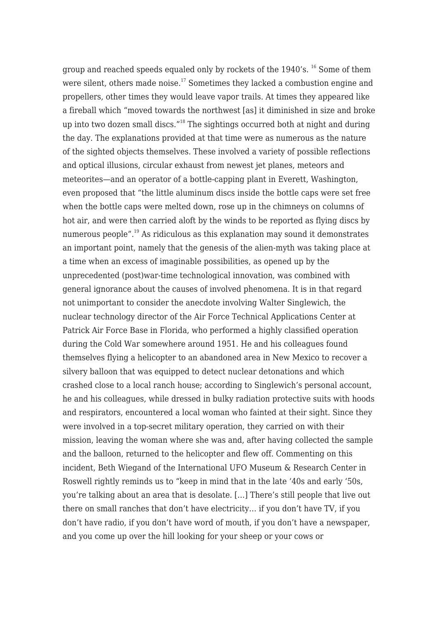group and reached speeds equaled only by rockets of the 1940's. [16](#page--1-0) Some of them were silent, others made noise.<sup>[17](#page--1-0)</sup> Sometimes they lacked a combustion engine and propellers, other times they would leave vapor trails. At times they appeared like a fireball which "moved towards the northwest [as] it diminished in size and broke up into two dozen small discs."<sup>[18](#page--1-0)</sup> The sightings occurred both at night and during the day. The explanations provided at that time were as numerous as the nature of the sighted objects themselves. These involved a variety of possible reflections and optical illusions, circular exhaust from newest jet planes, meteors and meteorites—and an operator of a bottle-capping plant in Everett, Washington, even proposed that "the little aluminum discs inside the bottle caps were set free when the bottle caps were melted down, rose up in the chimneys on columns of hot air, and were then carried aloft by the winds to be reported as flying discs by numerous people".<sup>[19](#page--1-0)</sup> As ridiculous as this explanation may sound it demonstrates an important point, namely that the genesis of the alien-myth was taking place at a time when an excess of imaginable possibilities, as opened up by the unprecedented (post)war-time technological innovation, was combined with general ignorance about the causes of involved phenomena. It is in that regard not unimportant to consider the anecdote involving Walter Singlewich, the nuclear technology director of the Air Force Technical Applications Center at Patrick Air Force Base in Florida, who performed a highly classified operation during the Cold War somewhere around 1951. He and his colleagues found themselves flying a helicopter to an abandoned area in New Mexico to recover a silvery balloon that was equipped to detect nuclear detonations and which crashed close to a local ranch house; according to Singlewich's personal account, he and his colleagues, while dressed in bulky radiation protective suits with hoods and respirators, encountered a local woman who fainted at their sight. Since they were involved in a top-secret military operation, they carried on with their mission, leaving the woman where she was and, after having collected the sample and the balloon, returned to the helicopter and flew off. Commenting on this incident, Beth Wiegand of the International UFO Museum & Research Center in Roswell rightly reminds us to "keep in mind that in the late '40s and early '50s, you're talking about an area that is desolate. […] There's still people that live out there on small ranches that don't have electricity… if you don't have TV, if you don't have radio, if you don't have word of mouth, if you don't have a newspaper, and you come up over the hill looking for your sheep or your cows or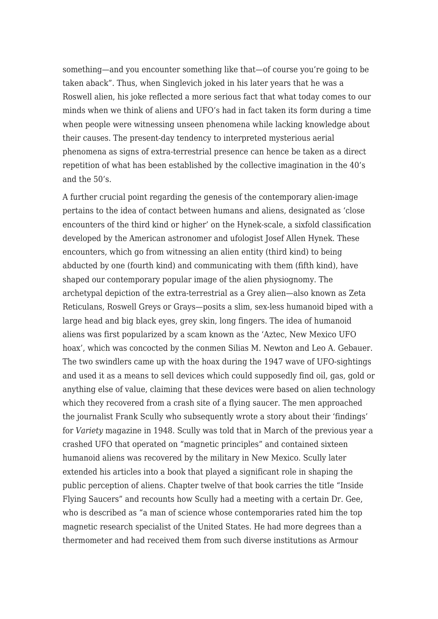something—and you encounter something like that—of course you're going to be taken aback". Thus, when Singlevich joked in his later years that he was a Roswell alien, his joke reflected a more serious fact that what today comes to our minds when we think of aliens and UFO's had in fact taken its form during a time when people were witnessing unseen phenomena while lacking knowledge about their causes. The present-day tendency to interpreted mysterious aerial phenomena as signs of extra-terrestrial presence can hence be taken as a direct repetition of what has been established by the collective imagination in the 40's and the 50's.

A further crucial point regarding the genesis of the contemporary alien-image pertains to the idea of contact between humans and aliens, designated as 'close encounters of the third kind or higher' on the Hynek-scale, a sixfold classification developed by the American astronomer and ufologist Josef Allen Hynek. These encounters, which go from witnessing an alien entity (third kind) to being abducted by one (fourth kind) and communicating with them (fifth kind), have shaped our contemporary popular image of the alien physiognomy. The archetypal depiction of the extra-terrestrial as a Grey alien—also known as Zeta Reticulans, Roswell Greys or Grays—posits a slim, sex-less humanoid biped with a large head and big black eyes, grey skin, long fingers. The idea of humanoid aliens was first popularized by a scam known as the 'Aztec, New Mexico UFO hoax', which was concocted by the conmen Silias M. Newton and Leo A. Gebauer. The two swindlers came up with the hoax during the 1947 wave of UFO-sightings and used it as a means to sell devices which could supposedly find oil, gas, gold or anything else of value, claiming that these devices were based on alien technology which they recovered from a crash site of a flying saucer. The men approached the journalist Frank Scully who subsequently wrote a story about their 'findings' for *Variety* magazine in 1948. Scully was told that in March of the previous year a crashed UFO that operated on "magnetic principles" and contained sixteen humanoid aliens was recovered by the military in New Mexico. Scully later extended his articles into a book that played a significant role in shaping the public perception of aliens. Chapter twelve of that book carries the title "Inside Flying Saucers" and recounts how Scully had a meeting with a certain Dr. Gee, who is described as "a man of science whose contemporaries rated him the top magnetic research specialist of the United States. He had more degrees than a thermometer and had received them from such diverse institutions as Armour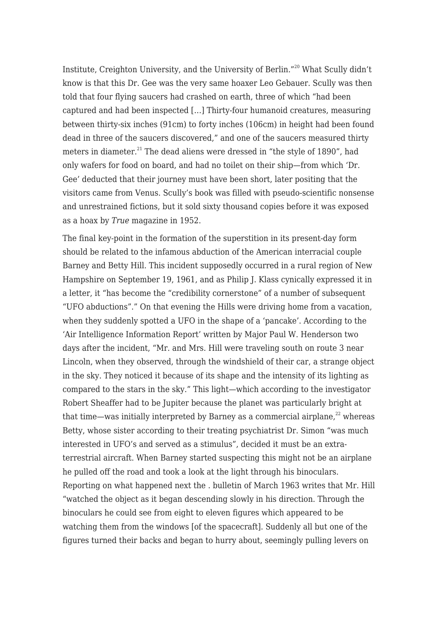Institute, Creighton University, and the University of Berlin."[20](#page--1-0) What Scully didn't know is that this Dr. Gee was the very same hoaxer Leo Gebauer. Scully was then told that four flying saucers had crashed on earth, three of which "had been captured and had been inspected […] Thirty-four humanoid creatures, measuring between thirty-six inches (91cm) to forty inches (106cm) in height had been found dead in three of the saucers discovered," and one of the saucers measured thirty meters in diameter.<sup>[21](#page--1-0)</sup> The dead aliens were dressed in "the style of 1890", had only wafers for food on board, and had no toilet on their ship—from which 'Dr. Gee' deducted that their journey must have been short, later positing that the visitors came from Venus. Scully's book was filled with pseudo-scientific nonsense and unrestrained fictions, but it sold sixty thousand copies before it was exposed as a hoax by *True* magazine in 1952.

The final key-point in the formation of the superstition in its present-day form should be related to the infamous abduction of the American interracial couple Barney and Betty Hill. This incident supposedly occurred in a rural region of New Hampshire on September 19, 1961, and as Philip J. Klass cynically expressed it in a letter, it "has become the "credibility cornerstone" of a number of subsequent "UFO abductions"." On that evening the Hills were driving home from a vacation, when they suddenly spotted a UFO in the shape of a 'pancake'. According to the 'Air Intelligence Information Report' written by Major Paul W. Henderson two days after the incident, "Mr. and Mrs. Hill were traveling south on route 3 near Lincoln, when they observed, through the windshield of their car, a strange object in the sky. They noticed it because of its shape and the intensity of its lighting as compared to the stars in the sky." This light—which according to the investigator Robert Sheaffer had to be Jupiter because the planet was particularly bright at that time—was initially interpreted by Barney as a commercial airplane, $^{22}$  $^{22}$  $^{22}$  whereas Betty, whose sister according to their treating psychiatrist Dr. Simon "was much interested in UFO's and served as a stimulus", decided it must be an extraterrestrial aircraft. When Barney started suspecting this might not be an airplane he pulled off the road and took a look at the light through his binoculars. Reporting on what happened next the . bulletin of March 1963 writes that Mr. Hill "watched the object as it began descending slowly in his direction. Through the binoculars he could see from eight to eleven figures which appeared to be watching them from the windows [of the spacecraft]. Suddenly all but one of the figures turned their backs and began to hurry about, seemingly pulling levers on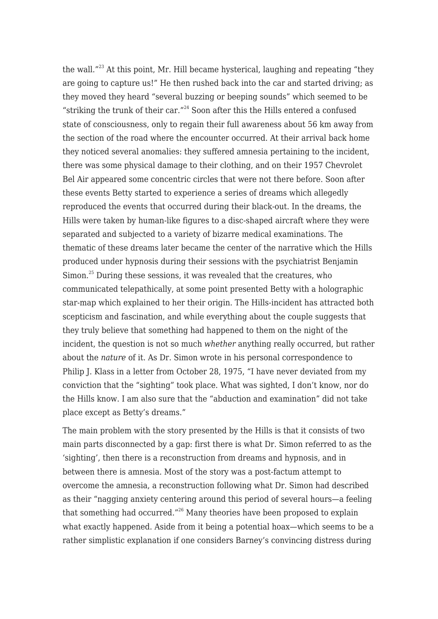the wall."<sup>[23](#page--1-0)</sup> At this point, Mr. Hill became hysterical, laughing and repeating "they are going to capture us!" He then rushed back into the car and started driving; as they moved they heard "several buzzing or beeping sounds" which seemed to be "striking the trunk of their car."<sup>[24](#page--1-0)</sup> Soon after this the Hills entered a confused state of consciousness, only to regain their full awareness about 56 km away from the section of the road where the encounter occurred. At their arrival back home they noticed several anomalies: they suffered amnesia pertaining to the incident, there was some physical damage to their clothing, and on their 1957 Chevrolet Bel Air appeared some concentric circles that were not there before. Soon after these events Betty started to experience a series of dreams which allegedly reproduced the events that occurred during their black-out. In the dreams, the Hills were taken by human-like figures to a disc-shaped aircraft where they were separated and subjected to a variety of bizarre medical examinations. The thematic of these dreams later became the center of the narrative which the Hills produced under hypnosis during their sessions with the psychiatrist Benjamin Simon.<sup>[25](#page--1-0)</sup> During these sessions, it was revealed that the creatures, who communicated telepathically, at some point presented Betty with a holographic star-map which explained to her their origin. The Hills-incident has attracted both scepticism and fascination, and while everything about the couple suggests that they truly believe that something had happened to them on the night of the incident, the question is not so much *whether* anything really occurred, but rather about the *nature* of it. As Dr. Simon wrote in his personal correspondence to Philip J. Klass in a letter from October 28, 1975, "I have never deviated from my conviction that the "sighting" took place. What was sighted, I don't know, nor do the Hills know. I am also sure that the "abduction and examination" did not take place except as Betty's dreams."

The main problem with the story presented by the Hills is that it consists of two main parts disconnected by a gap: first there is what Dr. Simon referred to as the 'sighting', then there is a reconstruction from dreams and hypnosis, and in between there is amnesia. Most of the story was a post-factum attempt to overcome the amnesia, a reconstruction following what Dr. Simon had described as their "nagging anxiety centering around this period of several hours—a feeling that something had occurred."<sup>[26](#page--1-0)</sup> Many theories have been proposed to explain what exactly happened. Aside from it being a potential hoax—which seems to be a rather simplistic explanation if one considers Barney's convincing distress during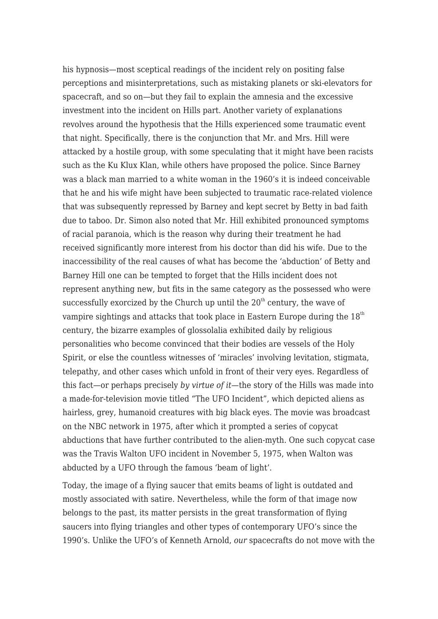his hypnosis—most sceptical readings of the incident rely on positing false perceptions and misinterpretations, such as mistaking planets or ski-elevators for spacecraft, and so on—but they fail to explain the amnesia and the excessive investment into the incident on Hills part. Another variety of explanations revolves around the hypothesis that the Hills experienced some traumatic event that night. Specifically, there is the conjunction that Mr. and Mrs. Hill were attacked by a hostile group, with some speculating that it might have been racists such as the Ku Klux Klan, while others have proposed the police. Since Barney was a black man married to a white woman in the 1960's it is indeed conceivable that he and his wife might have been subjected to traumatic race-related violence that was subsequently repressed by Barney and kept secret by Betty in bad faith due to taboo. Dr. Simon also noted that Mr. Hill exhibited pronounced symptoms of racial paranoia, which is the reason why during their treatment he had received significantly more interest from his doctor than did his wife. Due to the inaccessibility of the real causes of what has become the 'abduction' of Betty and Barney Hill one can be tempted to forget that the Hills incident does not represent anything new, but fits in the same category as the possessed who were successfully exorcized by the Church up until the  $20<sup>th</sup>$  century, the wave of vampire sightings and attacks that took place in Eastern Europe during the  $18<sup>th</sup>$ century, the bizarre examples of glossolalia exhibited daily by religious personalities who become convinced that their bodies are vessels of the Holy Spirit, or else the countless witnesses of 'miracles' involving levitation, stigmata, telepathy, and other cases which unfold in front of their very eyes. Regardless of this fact—or perhaps precisely *by virtue of it—*the story of the Hills was made into a made-for-television movie titled "The UFO Incident", which depicted aliens as hairless, grey, humanoid creatures with big black eyes. The movie was broadcast on the NBC network in 1975, after which it prompted a series of copycat abductions that have further contributed to the alien-myth. One such copycat case was the Travis Walton UFO incident in November 5, 1975, when Walton was abducted by a UFO through the famous 'beam of light'.

Today, the image of a flying saucer that emits beams of light is outdated and mostly associated with satire. Nevertheless, while the form of that image now belongs to the past, its matter persists in the great transformation of flying saucers into flying triangles and other types of contemporary UFO's since the 1990's. Unlike the UFO's of Kenneth Arnold, *our* spacecrafts do not move with the